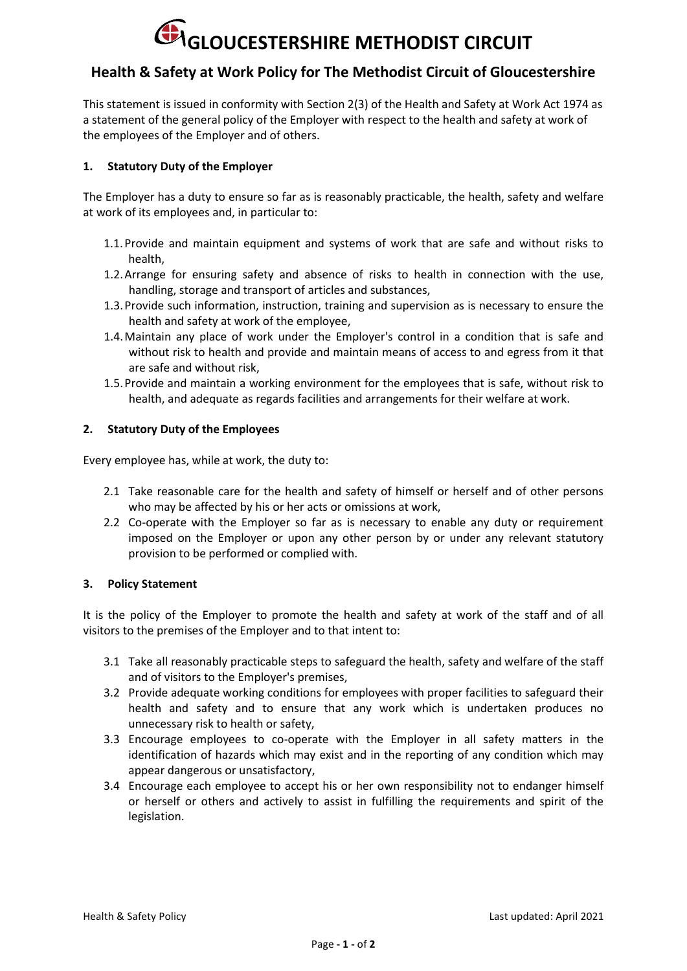# **GLOUCESTERSHIRE METHODIST CIRCUIT**

# **Health & Safety at Work Policy for The Methodist Circuit of Gloucestershire**

This statement is issued in conformity with Section 2(3) of the Health and Safety at Work Act 1974 as a statement of the general policy of the Employer with respect to the health and safety at work of the employees of the Employer and of others.

## **1. Statutory Duty of the Employer**

The Employer has a duty to ensure so far as is reasonably practicable, the health, safety and welfare at work of its employees and, in particular to:

- 1.1.Provide and maintain equipment and systems of work that are safe and without risks to health,
- 1.2.Arrange for ensuring safety and absence of risks to health in connection with the use, handling, storage and transport of articles and substances,
- 1.3.Provide such information, instruction, training and supervision as is necessary to ensure the health and safety at work of the employee,
- 1.4.Maintain any place of work under the Employer's control in a condition that is safe and without risk to health and provide and maintain means of access to and egress from it that are safe and without risk,
- 1.5.Provide and maintain a working environment for the employees that is safe, without risk to health, and adequate as regards facilities and arrangements for their welfare at work.

### **2. Statutory Duty of the Employees**

Every employee has, while at work, the duty to:

- 2.1 Take reasonable care for the health and safety of himself or herself and of other persons who may be affected by his or her acts or omissions at work,
- 2.2 Co-operate with the Employer so far as is necessary to enable any duty or requirement imposed on the Employer or upon any other person by or under any relevant statutory provision to be performed or complied with.

#### **3. Policy Statement**

It is the policy of the Employer to promote the health and safety at work of the staff and of all visitors to the premises of the Employer and to that intent to:

- 3.1 Take all reasonably practicable steps to safeguard the health, safety and welfare of the staff and of visitors to the Employer's premises,
- 3.2 Provide adequate working conditions for employees with proper facilities to safeguard their health and safety and to ensure that any work which is undertaken produces no unnecessary risk to health or safety,
- 3.3 Encourage employees to co-operate with the Employer in all safety matters in the identification of hazards which may exist and in the reporting of any condition which may appear dangerous or unsatisfactory,
- 3.4 Encourage each employee to accept his or her own responsibility not to endanger himself or herself or others and actively to assist in fulfilling the requirements and spirit of the legislation.